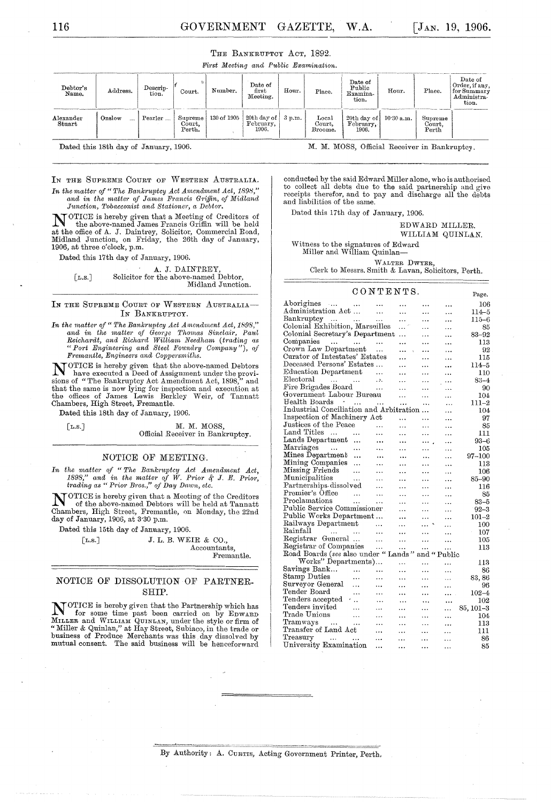|  | THE BANKRUPTCY ACT, 1892. |  |  |  |
|--|---------------------------|--|--|--|
|--|---------------------------|--|--|--|

*I!'it'st Meeting and Public Ereamination.* 

| Debtor's<br>Name.                        | Address. | Descrip-<br>tion. | Court.                      | Number.             | Date of<br>first<br>Meeting.             | Hour. | Place.                     | Date of<br>Public<br>Examina-<br>tion.         | Hour. | Place.                     | Date of<br>Order, if any,<br>for Summary<br>Administra-<br>tion. |
|------------------------------------------|----------|-------------------|-----------------------------|---------------------|------------------------------------------|-------|----------------------------|------------------------------------------------|-------|----------------------------|------------------------------------------------------------------|
| $\frac{\text{Alexander}}{\text{Stuart}}$ | Onslow   | Pearler           | Supreme<br>Court.<br>Perth. | 130 of <b>1</b> 905 | 20th day of 3 p.m.<br>February,<br>1906. |       | Local<br>Court.<br>Broome. | 20th day of $10.30$ a.m.<br>February,<br>1906. |       | Supreme<br>Court,<br>Perth |                                                                  |

Dated this 18th day of January, 1906.

M. M. MOSS, Official Receiver in Bankruptcy.

conducted by the said Edward Miller alone, who is authorised to collect all debts due to the said partnership and give receipts therefor, and to pay and discharge all the debts and liabilities of the same.

Dated this 17th day of January, 1906.

EDWARD MILLER.

WILLIAM QUINLAN.

Witness to the signatures of Edward Miller and William Quinlan-

WALTER DWYER, Clerk to Messrs. Smith & Lavan, Solicitors, Perth.

#### CONTENTS.

| CONTENTS.                                                                             |           |           |             |           |  |  |
|---------------------------------------------------------------------------------------|-----------|-----------|-------------|-----------|--|--|
| Aborigines<br>$\cdots$                                                                | $\cdots$  | .         | .           | 106       |  |  |
| Administration Act<br>$\ddotsc$                                                       | .         |           | .           | 114–5     |  |  |
| Bankruptcy<br>$\cdots$<br>$\cdots$<br>$\cdots$                                        | $\ddotsc$ |           | .           | 115–6     |  |  |
| Colonial Exhibition, Marseilles                                                       | $\cdots$  | $\cdots$  | .           | 85        |  |  |
| Colonial Secretary's Department                                                       | .         | .         |             | 83-92     |  |  |
| Companies<br>$\sim$ . $\sim$<br>$\sim 100$ km s $^{-1}$<br>$\sim$                     |           |           | .           | 113       |  |  |
| Crown Law Department<br>$\ddotsc$                                                     |           | .         | .           | 92        |  |  |
| Curator of Intestates' Estates                                                        |           | .         | .           | 115       |  |  |
| Deceased Persons' Estates                                                             |           | .         |             | 114–5     |  |  |
| Education Department                                                                  |           | $\ddotsc$ | .           | 110       |  |  |
| $\rm{Electoral}$<br>$\sim 1.4$ , $\sim 1.1$ , $\sim 1.4$ .<br>.3.                     |           | .         | $\ddotsc$   | 83–4      |  |  |
| Fire Brigades Board<br>$\sim$ 100 $\mu$                                               | $\cdots$  | $\cdots$  | .           | 90        |  |  |
| Government Labour Bureau                                                              | $\ddotsc$ | $\ddotsc$ | .           | $104\,$   |  |  |
| Health Boards<br>$\sim$ $\sigma$<br>$\cdots$<br>.                                     | $\ddotsc$ | $\ddotsc$ | .           | 111–2     |  |  |
| Industrial Conciliation and Arbitration                                               |           |           | .           | 104       |  |  |
| Inspection of Machinery Act                                                           | $\cdots$  | .         | .           | 97        |  |  |
| Justices of the Peace                                                                 | .         | $\cdots$  | .           | 85        |  |  |
| Land Titles<br>$\sim$<br>$\ddotsc$<br>.                                               | $\ddotsc$ | $\ddotsc$ | .           | 111       |  |  |
| Lands Department<br>$\ddotsc$                                                         |           |           | .           | 93–6      |  |  |
| Marriages<br>$\sim$ 100 $\mu$ 100 $\mu$                                               |           |           | .           | 105       |  |  |
| Mines Department                                                                      | .         |           | $\ddotsc$   | 97–100    |  |  |
| Mining Companies                                                                      | .         |           | .           | 113       |  |  |
| Missing Friends<br>$\sim$                                                             | .         | $\ddotsc$ | .           | 106       |  |  |
| Municipalities<br>$\sim$ .                                                            |           | $\ddotsc$ | $\ddotsc$   | 85-90     |  |  |
| Partnerships dissolved<br>$\ddotsc$                                                   |           |           | .           | 116       |  |  |
| Premier's Office<br>$\sim$ 144                                                        | .         | .         | .           | 85        |  |  |
| Proclamations<br>$\cdots$<br>$\ddotsc$                                                | $\ddotsc$ | .         | $\ddotsc$   | $83 - 5$  |  |  |
| Public Service Commissioner                                                           | .         | .         | $\ddotsc$   | $92 - 3$  |  |  |
| Public Works Department                                                               | .         | $\cdots$  | .           | $101 - 2$ |  |  |
| Railways Department<br>$\ddotsc$                                                      | $\cdots$  | $\ddotsc$ | .           | $100\,$   |  |  |
| Rainfall<br>$\mathbf{r} \cdot \mathbf{r}$ . The $\mathbf{r}$<br>$\ddotsc$<br>$\ldots$ |           |           | .           | 107       |  |  |
| Registrar General<br>$\ddotsc$                                                        | $\ddotsc$ | .         | .           | 105       |  |  |
| Registrar of Companies<br>$\ddotsc$                                                   | .         | .         | $\cdots$    | 113       |  |  |
| Road Boards (see also under " Lands                                                   |           |           | and "Public |           |  |  |
| Works" Departments)                                                                   | .         | $\cdot$   | .           | 113       |  |  |
| Savings Bank<br>$\cdots$<br>$\ddotsc$                                                 | .         | .         | .           | 86        |  |  |
| Stamp Duties<br>$\ddotsc$<br>.                                                        | $\ddotsc$ |           | $\cdots$    | 83,86     |  |  |
| Surveyor General<br>.<br>.                                                            | $\cdots$  |           | .           | 96        |  |  |
| Tender Board<br>$\ddotsc$<br>.                                                        |           |           | .           | $102 - 4$ |  |  |
| Tenders accepted<br>$\sim$<br>$\ddotsc$                                               |           | $\cdots$  |             | 102       |  |  |
| $\operatorname{Tenders}$ invited<br>$\ddotsc$                                         | $\ddotsc$ | $\ddotsc$ | $\ddotsc$   | 85, 101-3 |  |  |
| Trade Unions<br>$\ddotsc$                                                             | $\ddotsc$ | .         | .           | 104       |  |  |
| Tramways<br>$\sim$<br>.                                                               |           |           | .           | 113       |  |  |
| Transfer of Land Act                                                                  |           |           | .           | 111       |  |  |
| Treasury<br>$\sim$ 144<br>$\sim$ $\sim$<br>$\ddotsc$                                  |           |           | .           | 86        |  |  |
| University Examination<br>.                                                           | .         | .         | .           | 85        |  |  |
|                                                                                       |           |           |             |           |  |  |

#### IN THE SUPREME COURT OF WESTERN AUSTRALIA.

*In the matter of "The Bankruptcy Act Amendment Act, 1898,"* and in the matter of James Francis Griffin, of Midland *Junction, Tobacconist and Stationer, a Debtor.* 

NOTICE is hereby given that a Meeting of Creditors of the above-named James Francis Griffin will be held at the office of A. J. Daintrey, Solicitor, Commercial Road, Midland Junction, on Friday, the 26th day of January, 1906, at three o'clock, p.m.

Dated this 17th day of January, 1906.

A. J. DAINTREY [L.S.] Solicitor for the above-named Debtor, Midland Junction.

#### **IN** THE SUPREME COURT OF WESTERN AUSTRALIA-IN BANKRUPTCY.

*In the matter of "The Bankruptcy Act A mendment Act, 1898,"* and in the matter of George Thomas Sinclair, Paul Reichardt, and Richard William Needham (trading as *"Port Engineering and Steel Foundry Company"), of*   $Fremantle,$  *Engineers and Coppersmiths.* 

N OTICE is hereby given that the above-named Debtors have executed a Deed of Assignment under the provisions of "The Bankruptcy Act Amendment Act, 1898," and that the same is now lying for inspection and execution at the offices of James Lewis Berkley Weir, of Tannatt Chambers, High Street, Fremantle.

Dated this 18th day of January, 1906.

[L.S.] M. M. MOSS,

Official Receiver in Bankruptcy.

#### NOTICE OF MEETING.

In the matter of "The Bankruptcy Act Amendment Act, *1898," and in the matter of W. Prior & J. E. Prior, trading as " Prior Bros." of Day Dawn, etc.* 

NOTICE is hereby given that a Meeting of the Creditors **IN** of the above-named Debtors will be held at Tannatt Chambers, High Street, Fremantle, on Monday, the 22nd day of January, 1906, at 3'30 p.m.

Dated this 15th day of January, 1906.

[L.S.]  $J. L. B. WEIR & CO.,$ Accountants, Fremantle.

#### NOTICE OF DISSOLUTION OF PARTNER-SHIP.

NOTICE is hereby given that the Partnership which has for some time past been carried on by EDWARD MILLER and WILLIAU QUINLAN, under the style or firm of "lYIiller & Quinlan," at Hay Street, Subiaco, in the trade or business of Produce Merchants was this day dissolved by mutnal consent. The said business will be henceforward

By Authority: A. CURTIS, Acting Government Printer, Perth.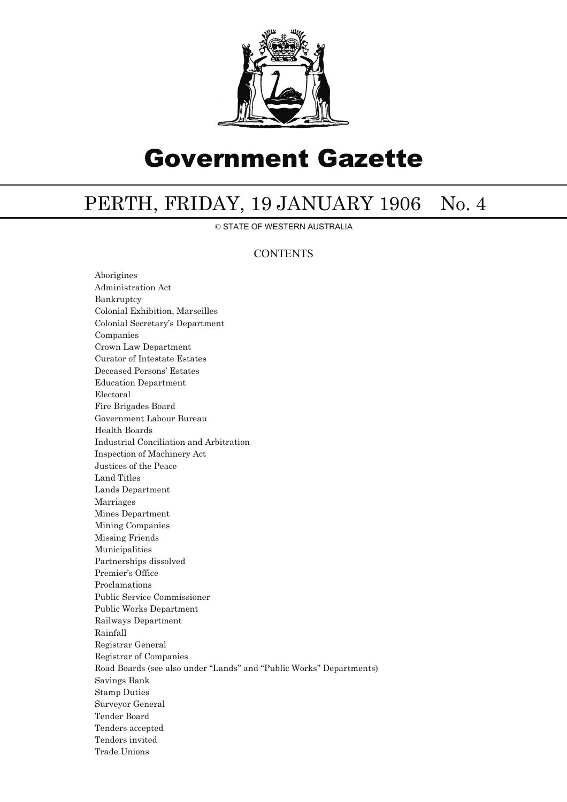

# Government Gazette

## PERTH, FRIDAY, 19 JANUARY 1906 No. 4

© STATE OF WESTERN AUSTRALIA

### **CONTENTS**

Aborigines Administration Act Bankruptcy Colonial Exhibition, Marseilles Colonial Secretary's Department Companies Crown Law Department Curator of Intestate Estates Deceased Persons' Estates Education Department Electoral Fire Brigades Board Government Labour Bureau Health Boards Industrial Conciliation and Arbitration Inspection of Machinery Act Justices of the Peace Land Titles Lands Department Marriages Mines Department Mining Companies Missing Friends Municipalities Partnerships dissolved Premier's Office Proclamations Public Service Commissioner Public Works Department Railways Department Rainfall Registrar General Registrar of Companies Road Boards (see also under ''Lands'' and ''Public Works'' Departments) Savings Bank Stamp Duties Surveyor General Tender Board Tenders accepted Tenders invited Trade Unions